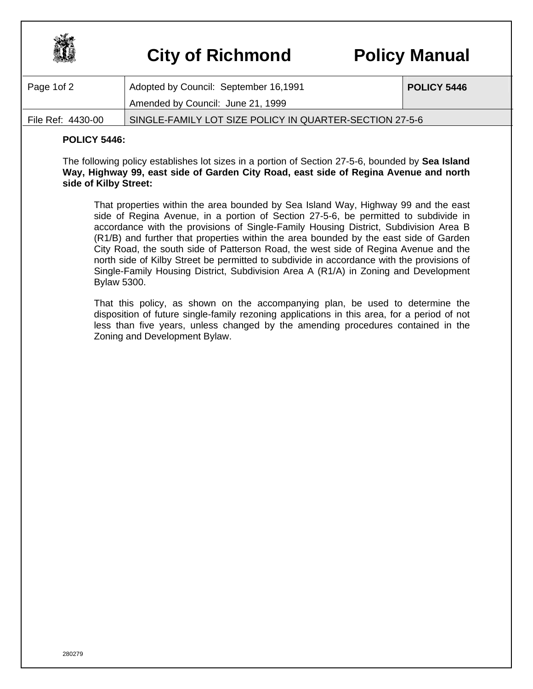

## **City of Richmond Policy Manual**

| Page 1of 2        | Adopted by Council: September 16,1991                   | POLICY 5446 |
|-------------------|---------------------------------------------------------|-------------|
|                   | Amended by Council: June 21, 1999                       |             |
| File Ref: 4430-00 | SINGLE-FAMILY LOT SIZE POLICY IN QUARTER-SECTION 27-5-6 |             |

## **POLICY 5446:**

The following policy establishes lot sizes in a portion of Section 27-5-6, bounded by **Sea Island Way, Highway 99, east side of Garden City Road, east side of Regina Avenue and north side of Kilby Street:**

That properties within the area bounded by Sea Island Way, Highway 99 and the east side of Regina Avenue, in a portion of Section 27-5-6, be permitted to subdivide in accordance with the provisions of Single-Family Housing District, Subdivision Area B (R1/B) and further that properties within the area bounded by the east side of Garden City Road, the south side of Patterson Road, the west side of Regina Avenue and the north side of Kilby Street be permitted to subdivide in accordance with the provisions of Single-Family Housing District, Subdivision Area A (R1/A) in Zoning and Development Bylaw 5300.

That this policy, as shown on the accompanying plan, be used to determine the disposition of future single-family rezoning applications in this area, for a period of not less than five years, unless changed by the amending procedures contained in the Zoning and Development Bylaw.